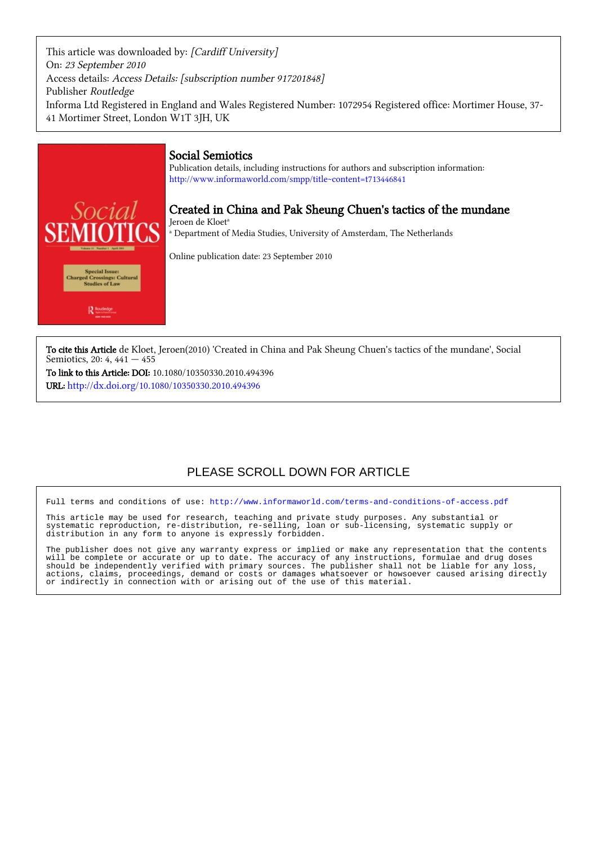This article was downloaded by: [Cardiff University] On: 23 September 2010 Access details: Access Details: [subscription number 917201848] Publisher Routledge Informa Ltd Registered in England and Wales Registered Number: 1072954 Registered office: Mortimer House, 37- 41 Mortimer Street, London W1T 3JH, UK



# Social Semiotics

Publication details, including instructions for authors and subscription information: <http://www.informaworld.com/smpp/title~content=t713446841>

## Created in China and Pak Sheung Chuen's tactics of the mundane Jeroen de Kloet<sup>a</sup>

<sup>a</sup> Department of Media Studies, University of Amsterdam, The Netherlands

Online publication date: 23 September 2010

To cite this Article de Kloet, Jeroen(2010) 'Created in China and Pak Sheung Chuen's tactics of the mundane', Social Semiotics, 20: 4, 441 — 455

To link to this Article: DOI: 10.1080/10350330.2010.494396 URL: <http://dx.doi.org/10.1080/10350330.2010.494396>

# PLEASE SCROLL DOWN FOR ARTICLE

Full terms and conditions of use:<http://www.informaworld.com/terms-and-conditions-of-access.pdf>

This article may be used for research, teaching and private study purposes. Any substantial or systematic reproduction, re-distribution, re-selling, loan or sub-licensing, systematic supply or distribution in any form to anyone is expressly forbidden.

The publisher does not give any warranty express or implied or make any representation that the contents will be complete or accurate or up to date. The accuracy of any instructions, formulae and drug doses should be independently verified with primary sources. The publisher shall not be liable for any loss, actions, claims, proceedings, demand or costs or damages whatsoever or howsoever caused arising directly or indirectly in connection with or arising out of the use of this material.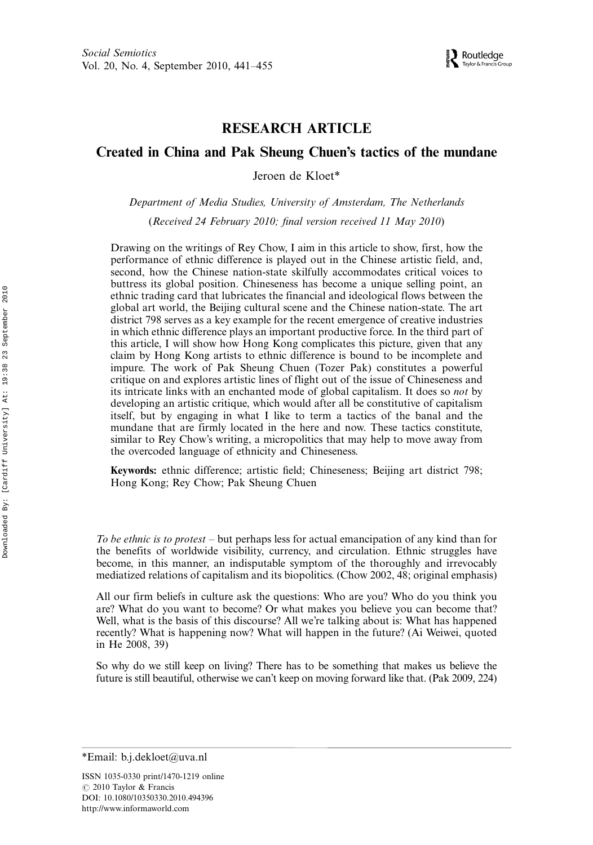# RESEARCH ARTICLE

## Created in China and Pak Sheung Chuen's tactics of the mundane

Jeroen de Kloet\*

Department of Media Studies, University of Amsterdam, The Netherlands (Received 24 February 2010; final version received 11 May 2010)

Drawing on the writings of Rey Chow, I aim in this article to show, first, how the performance of ethnic difference is played out in the Chinese artistic field, and, second, how the Chinese nation-state skilfully accommodates critical voices to buttress its global position. Chineseness has become a unique selling point, an ethnic trading card that lubricates the financial and ideological flows between the global art world, the Beijing cultural scene and the Chinese nation-state. The art district 798 serves as a key example for the recent emergence of creative industries in which ethnic difference plays an important productive force. In the third part of this article, I will show how Hong Kong complicates this picture, given that any claim by Hong Kong artists to ethnic difference is bound to be incomplete and impure. The work of Pak Sheung Chuen (Tozer Pak) constitutes a powerful critique on and explores artistic lines of flight out of the issue of Chineseness and its intricate links with an enchanted mode of global capitalism. It does so not by developing an artistic critique, which would after all be constitutive of capitalism itself, but by engaging in what I like to term a tactics of the banal and the mundane that are firmly located in the here and now. These tactics constitute, similar to Rey Chow's writing, a micropolitics that may help to move away from the overcoded language of ethnicity and Chineseness.

Keywords: ethnic difference; artistic field; Chineseness; Beijing art district 798; Hong Kong; Rey Chow; Pak Sheung Chuen

To be ethnic is to protest  $-$  but perhaps less for actual emancipation of any kind than for the benefits of worldwide visibility, currency, and circulation. Ethnic struggles have become, in this manner, an indisputable symptom of the thoroughly and irrevocably mediatized relations of capitalism and its biopolitics. (Chow 2002, 48; original emphasis)

All our firm beliefs in culture ask the questions: Who are you? Who do you think you are? What do you want to become? Or what makes you believe you can become that? Well, what is the basis of this discourse? All we're talking about is: What has happened recently? What is happening now? What will happen in the future? (Ai Weiwei, quoted in He 2008, 39)

So why do we still keep on living? There has to be something that makes us believe the future is still beautiful, otherwise we can't keep on moving forward like that. (Pak 2009, 224)

ISSN 1035-0330 print/1470-1219 online  $\odot$  2010 Taylor & Francis DOI: 10.1080/10350330.2010.494396 <http://www.informaworld.com>

<sup>\*</sup>Email: b.j.dekloet@uva.nl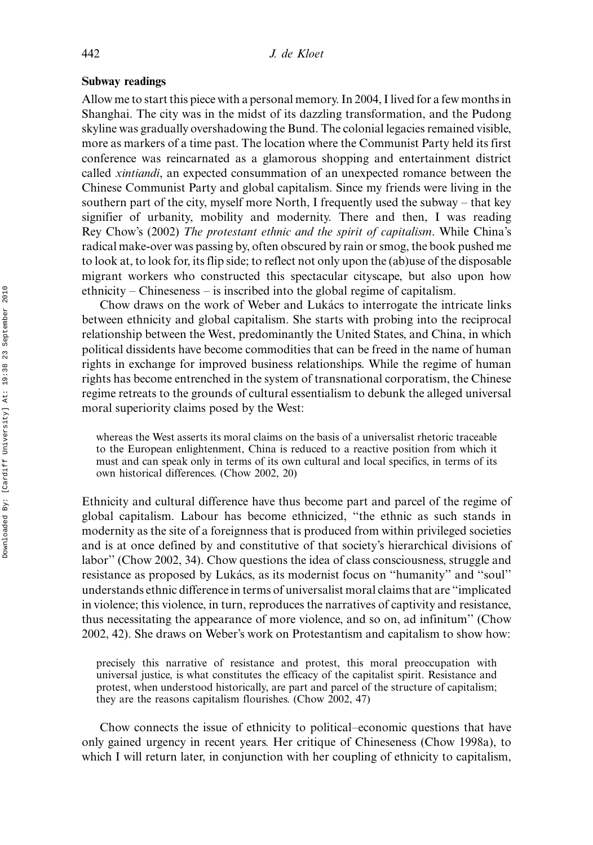## Subway readings

Allow me to start this piece with a personal memory. In 2004, I lived for a few months in Shanghai. The city was in the midst of its dazzling transformation, and the Pudong skyline was gradually overshadowing the Bund. The colonial legacies remained visible, more as markers of a time past. The location where the Communist Party held its first conference was reincarnated as a glamorous shopping and entertainment district called xintiandi, an expected consummation of an unexpected romance between the Chinese Communist Party and global capitalism. Since my friends were living in the southern part of the city, myself more North, I frequently used the subway  $-$  that key signifier of urbanity, mobility and modernity. There and then, I was reading Rey Chow's (2002) The protestant ethnic and the spirit of capitalism. While China's radical make-over was passing by, often obscured by rain or smog, the book pushed me to look at, to look for, its flip side; to reflect not only upon the (ab)use of the disposable migrant workers who constructed this spectacular cityscape, but also upon how ethnicity  $-$  Chineseness  $-$  is inscribed into the global regime of capitalism.

Chow draws on the work of Weber and Lukacs to interrogate the intricate links between ethnicity and global capitalism. She starts with probing into the reciprocal relationship between the West, predominantly the United States, and China, in which political dissidents have become commodities that can be freed in the name of human rights in exchange for improved business relationships. While the regime of human rights has become entrenched in the system of transnational corporatism, the Chinese regime retreats to the grounds of cultural essentialism to debunk the alleged universal moral superiority claims posed by the West:

whereas the West asserts its moral claims on the basis of a universalist rhetoric traceable to the European enlightenment, China is reduced to a reactive position from which it must and can speak only in terms of its own cultural and local specifics, in terms of its own historical differences. (Chow 2002, 20)

Ethnicity and cultural difference have thus become part and parcel of the regime of global capitalism. Labour has become ethnicized, ''the ethnic as such stands in modernity as the site of a foreignness that is produced from within privileged societies and is at once defined by and constitutive of that society's hierarchical divisions of labor'' (Chow 2002, 34). Chow questions the idea of class consciousness, struggle and resistance as proposed by Lukács, as its modernist focus on "humanity" and "soul" understands ethnic difference in terms of universalist moral claims that are ''implicated in violence; this violence, in turn, reproduces the narratives of captivity and resistance, thus necessitating the appearance of more violence, and so on, ad infinitum'' (Chow 2002, 42). She draws on Weber's work on Protestantism and capitalism to show how:

precisely this narrative of resistance and protest, this moral preoccupation with universal justice, is what constitutes the efficacy of the capitalist spirit. Resistance and protest, when understood historically, are part and parcel of the structure of capitalism; they are the reasons capitalism flourishes. (Chow 2002, 47)

Chow connects the issue of ethnicity to political–economic questions that have only gained urgency in recent years. Her critique of Chineseness (Chow 1998a), to which I will return later, in conjunction with her coupling of ethnicity to capitalism,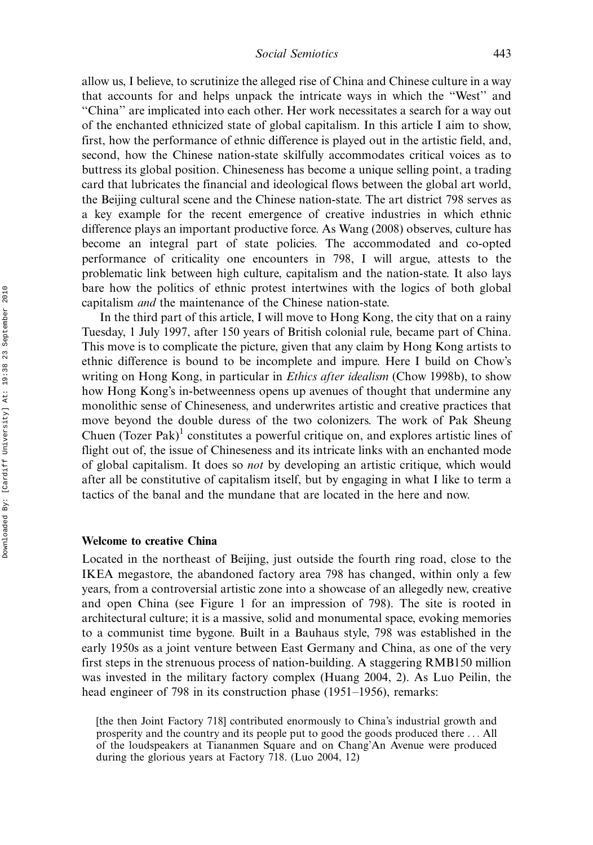allow us, I believe, to scrutinize the alleged rise of China and Chinese culture in a way that accounts for and helps unpack the intricate ways in which the ''West'' and ''China'' are implicated into each other. Her work necessitates a search for a way out of the enchanted ethnicized state of global capitalism. In this article I aim to show, first, how the performance of ethnic difference is played out in the artistic field, and, second, how the Chinese nation-state skilfully accommodates critical voices as to buttress its global position. Chineseness has become a unique selling point, a trading card that lubricates the financial and ideological flows between the global art world, the Beijing cultural scene and the Chinese nation-state. The art district 798 serves as a key example for the recent emergence of creative industries in which ethnic difference plays an important productive force. As Wang (2008) observes, culture has become an integral part of state policies. The accommodated and co-opted performance of criticality one encounters in 798, I will argue, attests to the problematic link between high culture, capitalism and the nation-state. It also lays bare how the politics of ethnic protest intertwines with the logics of both global capitalism and the maintenance of the Chinese nation-state.

In the third part of this article, I will move to Hong Kong, the city that on a rainy Tuesday, 1 July 1997, after 150 years of British colonial rule, became part of China. This move is to complicate the picture, given that any claim by Hong Kong artists to ethnic difference is bound to be incomplete and impure. Here I build on Chow's writing on Hong Kong, in particular in *Ethics after idealism* (Chow 1998b), to show how Hong Kong's in-betweenness opens up avenues of thought that undermine any monolithic sense of Chineseness, and underwrites artistic and creative practices that move beyond the double duress of the two colonizers. The work of Pak Sheung Chuen (Tozer Pak)<sup>1</sup> constitutes a powerful critique on, and explores artistic lines of flight out of, the issue of Chineseness and its intricate links with an enchanted mode of global capitalism. It does so not by developing an artistic critique, which would after all be constitutive of capitalism itself, but by engaging in what I like to term a tactics of the banal and the mundane that are located in the here and now.

#### Welcome to creative China

Located in the northeast of Beijing, just outside the fourth ring road, close to the IKEA megastore, the abandoned factory area 798 has changed, within only a few years, from a controversial artistic zone into a showcase of an allegedly new, creative and open China (see Figure 1 for an impression of 798). The site is rooted in architectural culture; it is a massive, solid and monumental space, evoking memories to a communist time bygone. Built in a Bauhaus style, 798 was established in the early 1950s as a joint venture between East Germany and China, as one of the very first steps in the strenuous process of nation-building. A staggering RMB150 million was invested in the military factory complex (Huang 2004, 2). As Luo Peilin, the head engineer of 798 in its construction phase (1951-1956), remarks:

[the then Joint Factory 718] contributed enormously to China's industrial growth and prosperity and the country and its people put to good the goods produced there ... All of the loudspeakers at Tiananmen Square and on Chang'An Avenue were produced during the glorious years at Factory 718. (Luo 2004, 12)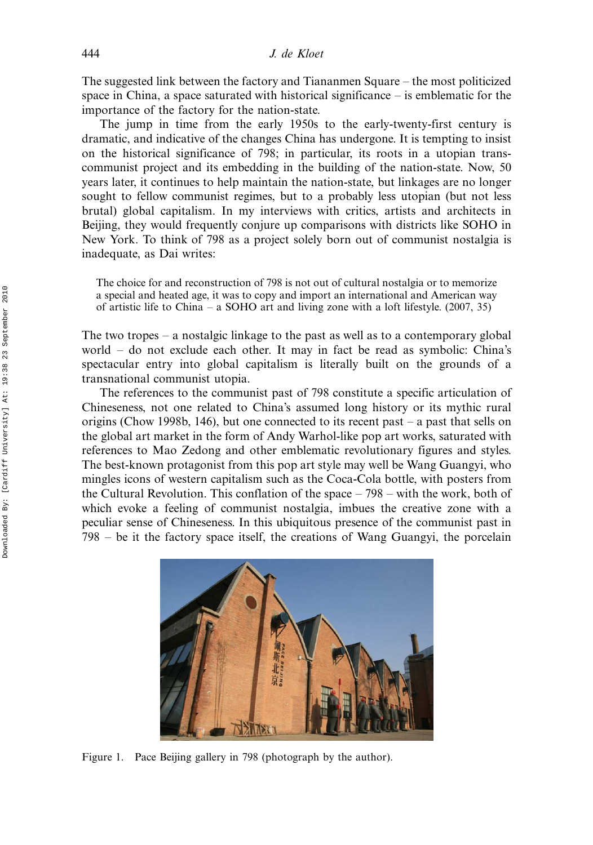The suggested link between the factory and Tiananmen Square – the most politicized space in China, a space saturated with historical significance  $-$  is emblematic for the importance of the factory for the nation-state.

The jump in time from the early 1950s to the early-twenty-first century is dramatic, and indicative of the changes China has undergone. It is tempting to insist on the historical significance of 798; in particular, its roots in a utopian transcommunist project and its embedding in the building of the nation-state. Now, 50 years later, it continues to help maintain the nation-state, but linkages are no longer sought to fellow communist regimes, but to a probably less utopian (but not less brutal) global capitalism. In my interviews with critics, artists and architects in Beijing, they would frequently conjure up comparisons with districts like SOHO in New York. To think of 798 as a project solely born out of communist nostalgia is inadequate, as Dai writes:

The choice for and reconstruction of 798 is not out of cultural nostalgia or to memorize a special and heated age, it was to copy and import an international and American way of artistic life to China  $-$  a SOHO art and living zone with a loft lifestyle. (2007, 35)

The two tropes  $-$  a nostalgic linkage to the past as well as to a contemporary global world  $-$  do not exclude each other. It may in fact be read as symbolic: China's spectacular entry into global capitalism is literally built on the grounds of a transnational communist utopia.

The references to the communist past of 798 constitute a specific articulation of Chineseness, not one related to China's assumed long history or its mythic rural origins (Chow 1998b, 146), but one connected to its recent past  $-$  a past that sells on the global art market in the form of Andy Warhol-like pop art works, saturated with references to Mao Zedong and other emblematic revolutionary figures and styles. The best-known protagonist from this pop art style may well be Wang Guangyi, who mingles icons of western capitalism such as the Coca-Cola bottle, with posters from the Cultural Revolution. This conflation of the space  $-798 -$  with the work, both of which evoke a feeling of communist nostalgia, imbues the creative zone with a peculiar sense of Chineseness. In this ubiquitous presence of the communist past in  $798 -$  be it the factory space itself, the creations of Wang Guangyi, the porcelain



Figure 1. Pace Beijing gallery in 798 (photograph by the author).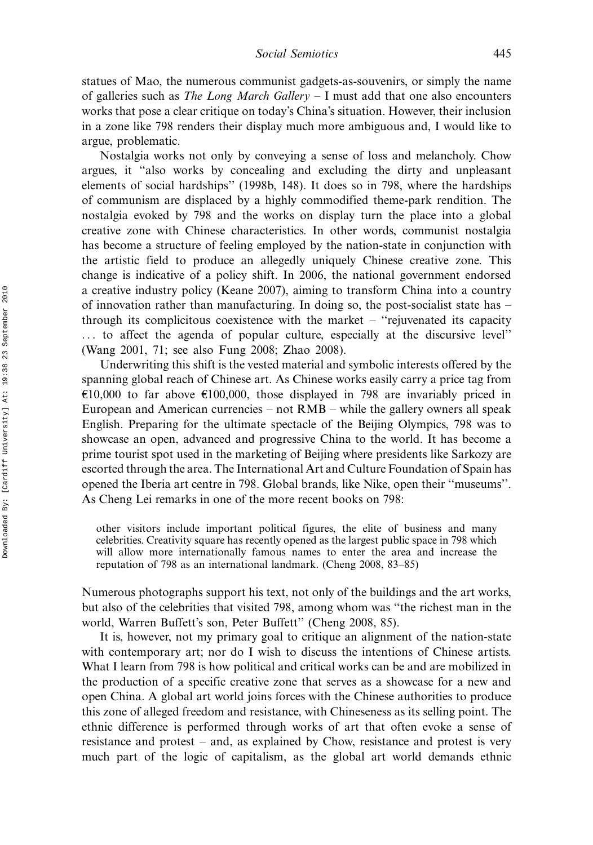statues of Mao, the numerous communist gadgets-as-souvenirs, or simply the name of galleries such as *The Long March Gallery*  $-$  I must add that one also encounters works that pose a clear critique on today's China's situation. However, their inclusion in a zone like 798 renders their display much more ambiguous and, I would like to argue, problematic.

Nostalgia works not only by conveying a sense of loss and melancholy. Chow argues, it ''also works by concealing and excluding the dirty and unpleasant elements of social hardships'' (1998b, 148). It does so in 798, where the hardships of communism are displaced by a highly commodified theme-park rendition. The nostalgia evoked by 798 and the works on display turn the place into a global creative zone with Chinese characteristics. In other words, communist nostalgia has become a structure of feeling employed by the nation-state in conjunction with the artistic field to produce an allegedly uniquely Chinese creative zone. This change is indicative of a policy shift. In 2006, the national government endorsed a creative industry policy (Keane 2007), aiming to transform China into a country of innovation rather than manufacturing. In doing so, the post-socialist state has through its complicitous coexistence with the market ''rejuvenated its capacity ... to affect the agenda of popular culture, especially at the discursive level'' (Wang 2001, 71; see also Fung 2008; Zhao 2008).

Underwriting this shift is the vested material and symbolic interests offered by the spanning global reach of Chinese art. As Chinese works easily carry a price tag from €10,000 to far above €100,000, those displayed in 798 are invariably priced in European and American currencies  $-$  not  $RMB -$  while the gallery owners all speak English. Preparing for the ultimate spectacle of the Beijing Olympics, 798 was to showcase an open, advanced and progressive China to the world. It has become a prime tourist spot used in the marketing of Beijing where presidents like Sarkozy are escorted through the area. The International Art and Culture Foundation of Spain has opened the Iberia art centre in 798. Global brands, like Nike, open their ''museums''. As Cheng Lei remarks in one of the more recent books on 798:

other visitors include important political figures, the elite of business and many celebrities. Creativity square has recently opened as the largest public space in 798 which will allow more internationally famous names to enter the area and increase the reputation of 798 as an international landmark. (Cheng 2008, 83-85)

Numerous photographs support his text, not only of the buildings and the art works, but also of the celebrities that visited 798, among whom was ''the richest man in the world, Warren Buffett's son, Peter Buffett'' (Cheng 2008, 85).

It is, however, not my primary goal to critique an alignment of the nation-state with contemporary art; nor do I wish to discuss the intentions of Chinese artists. What I learn from 798 is how political and critical works can be and are mobilized in the production of a specific creative zone that serves as a showcase for a new and open China. A global art world joins forces with the Chinese authorities to produce this zone of alleged freedom and resistance, with Chineseness as its selling point. The ethnic difference is performed through works of art that often evoke a sense of resistance and protest  $-$  and, as explained by Chow, resistance and protest is very much part of the logic of capitalism, as the global art world demands ethnic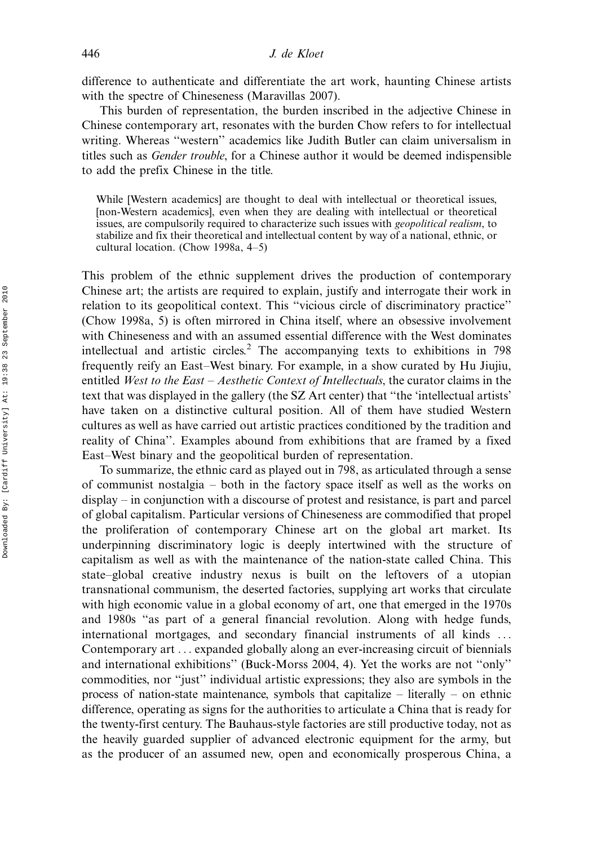difference to authenticate and differentiate the art work, haunting Chinese artists with the spectre of Chineseness (Maravillas 2007).

This burden of representation, the burden inscribed in the adjective Chinese in Chinese contemporary art, resonates with the burden Chow refers to for intellectual writing. Whereas ''western'' academics like Judith Butler can claim universalism in titles such as Gender trouble, for a Chinese author it would be deemed indispensible to add the prefix Chinese in the title.

While [Western academics] are thought to deal with intellectual or theoretical issues, [non-Western academics], even when they are dealing with intellectual or theoretical issues, are compulsorily required to characterize such issues with geopolitical realism, to stabilize and fix their theoretical and intellectual content by way of a national, ethnic, or cultural location. (Chow 1998a,  $4-5$ )

This problem of the ethnic supplement drives the production of contemporary Chinese art; the artists are required to explain, justify and interrogate their work in relation to its geopolitical context. This ''vicious circle of discriminatory practice'' (Chow 1998a, 5) is often mirrored in China itself, where an obsessive involvement with Chineseness and with an assumed essential difference with the West dominates intellectual and artistic circles.<sup>2</sup> The accompanying texts to exhibitions in 798 frequently reify an East-West binary. For example, in a show curated by Hu Jiujiu, entitled West to the East  $-$  Aesthetic Context of Intellectuals, the curator claims in the text that was displayed in the gallery (the SZ Art center) that ''the 'intellectual artists' have taken on a distinctive cultural position. All of them have studied Western cultures as well as have carried out artistic practices conditioned by the tradition and reality of China''. Examples abound from exhibitions that are framed by a fixed East-West binary and the geopolitical burden of representation.

To summarize, the ethnic card as played out in 798, as articulated through a sense of communist nostalgia  $-$  both in the factory space itself as well as the works on display – in conjunction with a discourse of protest and resistance, is part and parcel of global capitalism. Particular versions of Chineseness are commodified that propel the proliferation of contemporary Chinese art on the global art market. Its underpinning discriminatory logic is deeply intertwined with the structure of capitalism as well as with the maintenance of the nation-state called China. This state-global creative industry nexus is built on the leftovers of a utopian transnational communism, the deserted factories, supplying art works that circulate with high economic value in a global economy of art, one that emerged in the 1970s and 1980s ''as part of a general financial revolution. Along with hedge funds, international mortgages, and secondary financial instruments of all kinds ... Contemporary art ... expanded globally along an ever-increasing circuit of biennials and international exhibitions'' (Buck-Morss 2004, 4). Yet the works are not ''only'' commodities, nor ''just'' individual artistic expressions; they also are symbols in the process of nation-state maintenance, symbols that capitalize  $-$  literally  $-$  on ethnic difference, operating as signs for the authorities to articulate a China that is ready for the twenty-first century. The Bauhaus-style factories are still productive today, not as the heavily guarded supplier of advanced electronic equipment for the army, but as the producer of an assumed new, open and economically prosperous China, a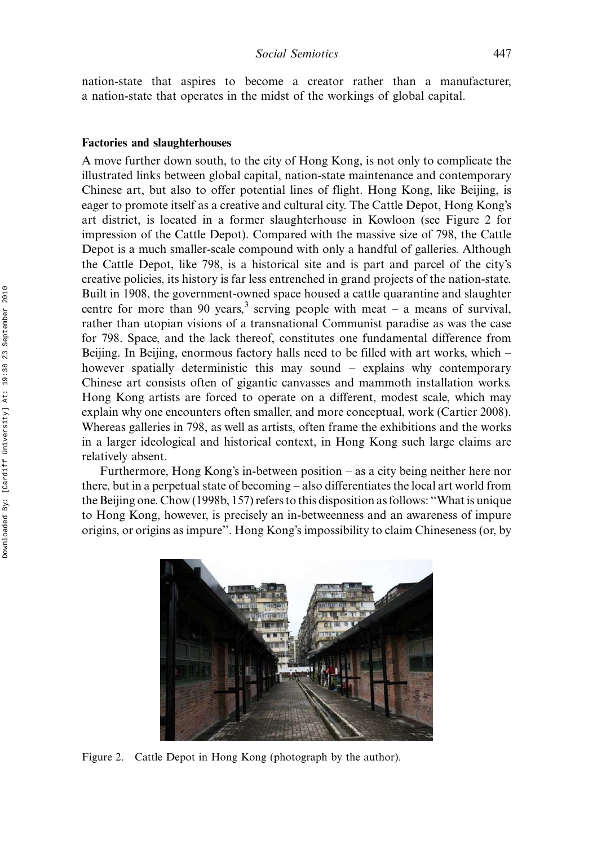nation-state that aspires to become a creator rather than a manufacturer, a nation-state that operates in the midst of the workings of global capital.

## Factories and slaughterhouses

A move further down south, to the city of Hong Kong, is not only to complicate the illustrated links between global capital, nation-state maintenance and contemporary Chinese art, but also to offer potential lines of flight. Hong Kong, like Beijing, is eager to promote itself as a creative and cultural city. The Cattle Depot, Hong Kong's art district, is located in a former slaughterhouse in Kowloon (see Figure 2 for impression of the Cattle Depot). Compared with the massive size of 798, the Cattle Depot is a much smaller-scale compound with only a handful of galleries. Although the Cattle Depot, like 798, is a historical site and is part and parcel of the city's creative policies, its history is far less entrenched in grand projects of the nation-state. Built in 1908, the government-owned space housed a cattle quarantine and slaughter centre for more than 90 years,<sup>3</sup> serving people with meat  $-$  a means of survival, rather than utopian visions of a transnational Communist paradise as was the case for 798. Space, and the lack thereof, constitutes one fundamental difference from Beijing. In Beijing, enormous factory halls need to be filled with art works, which – however spatially deterministic this may sound – explains why contemporary Chinese art consists often of gigantic canvasses and mammoth installation works. Hong Kong artists are forced to operate on a different, modest scale, which may explain why one encounters often smaller, and more conceptual, work (Cartier 2008). Whereas galleries in 798, as well as artists, often frame the exhibitions and the works in a larger ideological and historical context, in Hong Kong such large claims are relatively absent.

Furthermore, Hong Kong's in-between position  $-$  as a city being neither here nor there, but in a perpetual state of becoming  $-$  also differentiates the local art world from the Beijing one. Chow (1998b, 157) refers to this disposition as follows: ''What is unique to Hong Kong, however, is precisely an in-betweenness and an awareness of impure origins, or origins as impure''. Hong Kong's impossibility to claim Chineseness (or, by



Figure 2. Cattle Depot in Hong Kong (photograph by the author).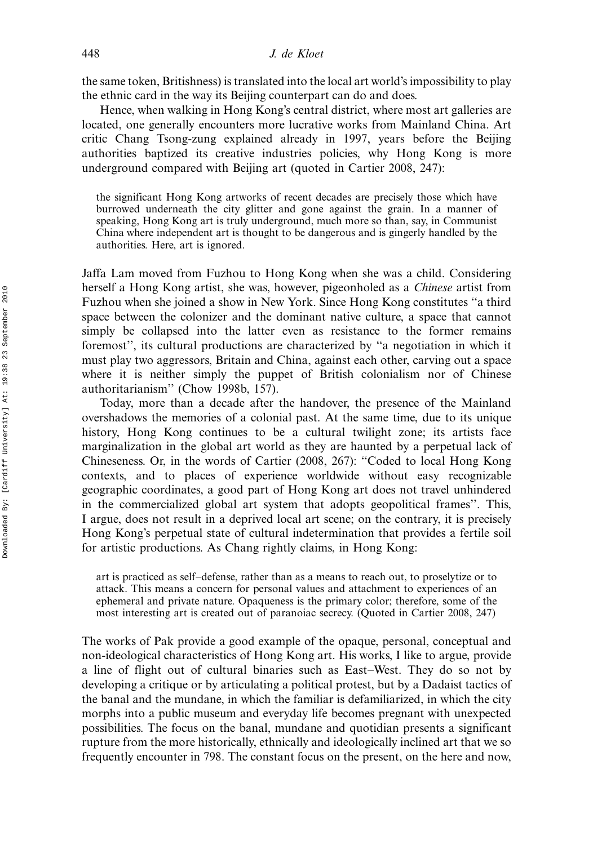the same token, Britishness) is translated into the local art world's impossibility to play the ethnic card in the way its Beijing counterpart can do and does.

Hence, when walking in Hong Kong's central district, where most art galleries are located, one generally encounters more lucrative works from Mainland China. Art critic Chang Tsong-zung explained already in 1997, years before the Beijing authorities baptized its creative industries policies, why Hong Kong is more underground compared with Beijing art (quoted in Cartier 2008, 247):

the significant Hong Kong artworks of recent decades are precisely those which have burrowed underneath the city glitter and gone against the grain. In a manner of speaking, Hong Kong art is truly underground, much more so than, say, in Communist China where independent art is thought to be dangerous and is gingerly handled by the authorities. Here, art is ignored.

Jaffa Lam moved from Fuzhou to Hong Kong when she was a child. Considering herself a Hong Kong artist, she was, however, pigeonholed as a Chinese artist from Fuzhou when she joined a show in New York. Since Hong Kong constitutes ''a third space between the colonizer and the dominant native culture, a space that cannot simply be collapsed into the latter even as resistance to the former remains foremost'', its cultural productions are characterized by ''a negotiation in which it must play two aggressors, Britain and China, against each other, carving out a space where it is neither simply the puppet of British colonialism nor of Chinese authoritarianism'' (Chow 1998b, 157).

Today, more than a decade after the handover, the presence of the Mainland overshadows the memories of a colonial past. At the same time, due to its unique history, Hong Kong continues to be a cultural twilight zone; its artists face marginalization in the global art world as they are haunted by a perpetual lack of Chineseness. Or, in the words of Cartier (2008, 267): ''Coded to local Hong Kong contexts, and to places of experience worldwide without easy recognizable geographic coordinates, a good part of Hong Kong art does not travel unhindered in the commercialized global art system that adopts geopolitical frames''. This, I argue, does not result in a deprived local art scene; on the contrary, it is precisely Hong Kong's perpetual state of cultural indetermination that provides a fertile soil for artistic productions. As Chang rightly claims, in Hong Kong:

art is practiced as self-defense, rather than as a means to reach out, to proselytize or to attack. This means a concern for personal values and attachment to experiences of an ephemeral and private nature. Opaqueness is the primary color; therefore, some of the most interesting art is created out of paranoiac secrecy. (Quoted in Cartier 2008, 247)

The works of Pak provide a good example of the opaque, personal, conceptual and non-ideological characteristics of Hong Kong art. His works, I like to argue, provide a line of flight out of cultural binaries such as East-West. They do so not by developing a critique or by articulating a political protest, but by a Dadaist tactics of the banal and the mundane, in which the familiar is defamiliarized, in which the city morphs into a public museum and everyday life becomes pregnant with unexpected possibilities. The focus on the banal, mundane and quotidian presents a significant rupture from the more historically, ethnically and ideologically inclined art that we so frequently encounter in 798. The constant focus on the present, on the here and now,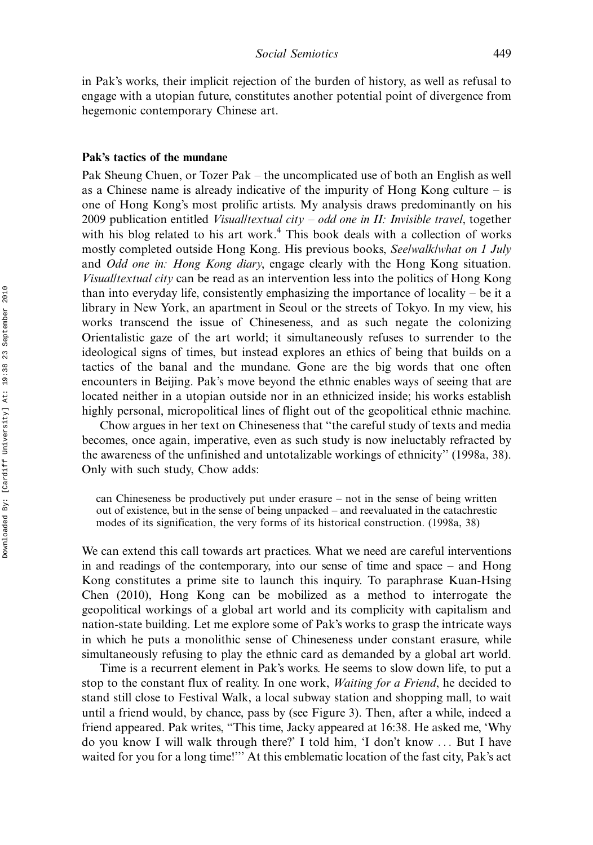in Pak's works, their implicit rejection of the burden of history, as well as refusal to engage with a utopian future, constitutes another potential point of divergence from hegemonic contemporary Chinese art.

#### Pak's tactics of the mundane

Pak Sheung Chuen, or Tozer Pak – the uncomplicated use of both an English as well as a Chinese name is already indicative of the impurity of Hong Kong culture  $-$  is one of Hong Kong's most prolific artists. My analysis draws predominantly on his 2009 publication entitled Visual/textual city  $-$  odd one in II: Invisible travel, together with his blog related to his art work.<sup>4</sup> This book deals with a collection of works mostly completed outside Hong Kong. His previous books, See/walk/what on 1 July and Odd one in: Hong Kong diary, engage clearly with the Hong Kong situation. Visual/textual city can be read as an intervention less into the politics of Hong Kong than into everyday life, consistently emphasizing the importance of locality  $-$  be it a library in New York, an apartment in Seoul or the streets of Tokyo. In my view, his works transcend the issue of Chineseness, and as such negate the colonizing Orientalistic gaze of the art world; it simultaneously refuses to surrender to the ideological signs of times, but instead explores an ethics of being that builds on a tactics of the banal and the mundane. Gone are the big words that one often encounters in Beijing. Pak's move beyond the ethnic enables ways of seeing that are located neither in a utopian outside nor in an ethnicized inside; his works establish highly personal, micropolitical lines of flight out of the geopolitical ethnic machine.

Chow argues in her text on Chineseness that ''the careful study of texts and media becomes, once again, imperative, even as such study is now ineluctably refracted by the awareness of the unfinished and untotalizable workings of ethnicity'' (1998a, 38). Only with such study, Chow adds:

can Chineseness be productively put under erasure  $-$  not in the sense of being written out of existence, but in the sense of being unpacked and reevaluated in the catachrestic modes of its signification, the very forms of its historical construction. (1998a, 38)

We can extend this call towards art practices. What we need are careful interventions in and readings of the contemporary, into our sense of time and space  $-$  and Hong Kong constitutes a prime site to launch this inquiry. To paraphrase Kuan-Hsing Chen (2010), Hong Kong can be mobilized as a method to interrogate the geopolitical workings of a global art world and its complicity with capitalism and nation-state building. Let me explore some of Pak's works to grasp the intricate ways in which he puts a monolithic sense of Chineseness under constant erasure, while simultaneously refusing to play the ethnic card as demanded by a global art world.

Time is a recurrent element in Pak's works. He seems to slow down life, to put a stop to the constant flux of reality. In one work, *Waiting for a Friend*, he decided to stand still close to Festival Walk, a local subway station and shopping mall, to wait until a friend would, by chance, pass by (see Figure 3). Then, after a while, indeed a friend appeared. Pak writes, ''This time, Jacky appeared at 16:38. He asked me, 'Why do you know I will walk through there?' I told him, 'I don't know ... But I have waited for you for a long time!''' At this emblematic location of the fast city, Pak's act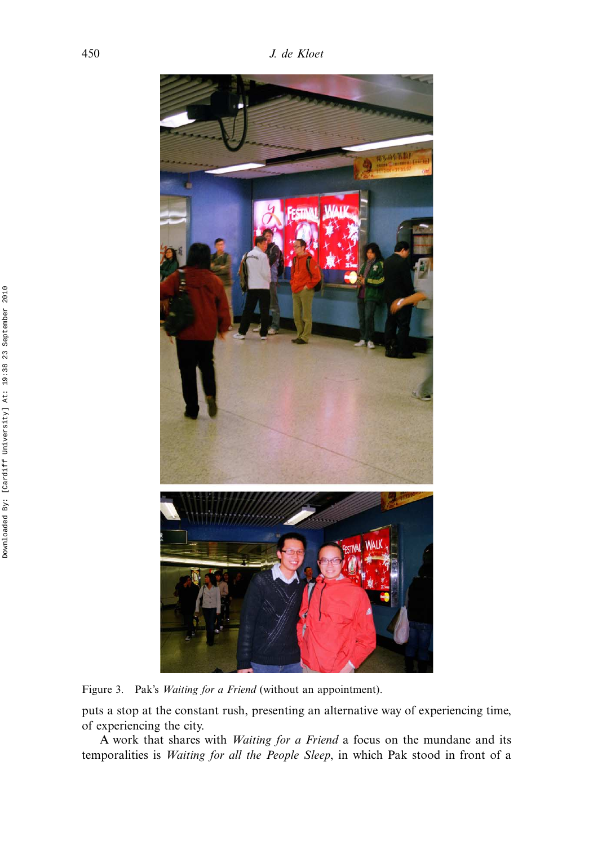

Figure 3. Pak's Waiting for a Friend (without an appointment).

puts a stop at the constant rush, presenting an alternative way of experiencing time, of experiencing the city.

A work that shares with Waiting for a Friend a focus on the mundane and its temporalities is Waiting for all the People Sleep, in which Pak stood in front of a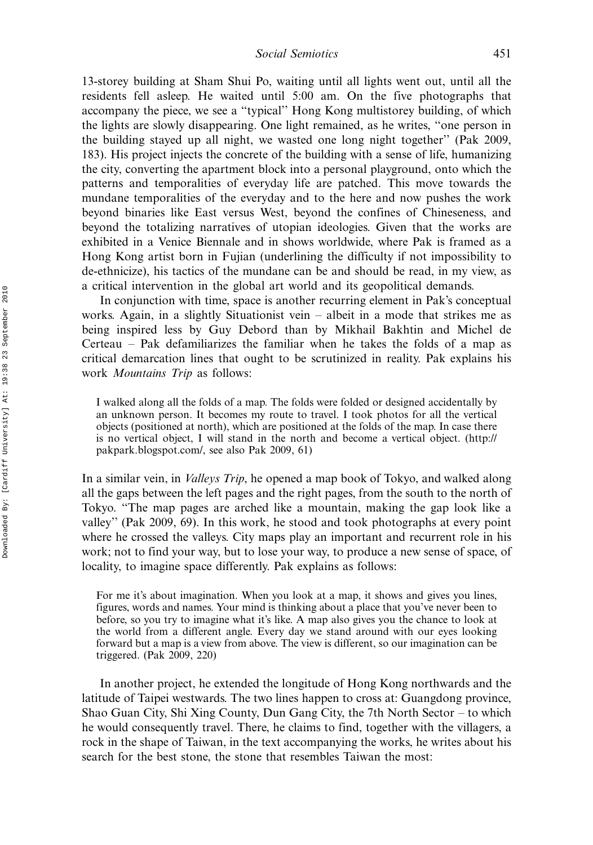13-storey building at Sham Shui Po, waiting until all lights went out, until all the residents fell asleep. He waited until 5:00 am. On the five photographs that accompany the piece, we see a ''typical'' Hong Kong multistorey building, of which the lights are slowly disappearing. One light remained, as he writes, ''one person in the building stayed up all night, we wasted one long night together'' (Pak 2009, 183). His project injects the concrete of the building with a sense of life, humanizing the city, converting the apartment block into a personal playground, onto which the patterns and temporalities of everyday life are patched. This move towards the mundane temporalities of the everyday and to the here and now pushes the work beyond binaries like East versus West, beyond the confines of Chineseness, and beyond the totalizing narratives of utopian ideologies. Given that the works are exhibited in a Venice Biennale and in shows worldwide, where Pak is framed as a Hong Kong artist born in Fujian (underlining the difficulty if not impossibility to de-ethnicize), his tactics of the mundane can be and should be read, in my view, as a critical intervention in the global art world and its geopolitical demands.

In conjunction with time, space is another recurring element in Pak's conceptual works. Again, in a slightly Situationist vein  $-$  albeit in a mode that strikes me as being inspired less by Guy Debord than by Mikhail Bakhtin and Michel de Certeau  $-$  Pak defamiliarizes the familiar when he takes the folds of a map as critical demarcation lines that ought to be scrutinized in reality. Pak explains his work Mountains Trip as follows:

I walked along all the folds of a map. The folds were folded or designed accidentally by an unknown person. It becomes my route to travel. I took photos for all the vertical objects (positioned at north), which are positioned at the folds of the map. In case there is no vertical object, I will stand in the north and become a vertical object. (http:// pakpark.blogspot.com/, see also Pak 2009, 61)

In a similar vein, in Valleys Trip, he opened a map book of Tokyo, and walked along all the gaps between the left pages and the right pages, from the south to the north of Tokyo. ''The map pages are arched like a mountain, making the gap look like a valley'' (Pak 2009, 69). In this work, he stood and took photographs at every point where he crossed the valleys. City maps play an important and recurrent role in his work; not to find your way, but to lose your way, to produce a new sense of space, of locality, to imagine space differently. Pak explains as follows:

For me it's about imagination. When you look at a map, it shows and gives you lines, figures, words and names. Your mind is thinking about a place that you've never been to before, so you try to imagine what it's like. A map also gives you the chance to look at the world from a different angle. Every day we stand around with our eyes looking forward but a map is a view from above. The view is different, so our imagination can be triggered. (Pak 2009, 220)

In another project, he extended the longitude of Hong Kong northwards and the latitude of Taipei westwards. The two lines happen to cross at: Guangdong province, Shao Guan City, Shi Xing County, Dun Gang City, the 7th North Sector  $-$  to which he would consequently travel. There, he claims to find, together with the villagers, a rock in the shape of Taiwan, in the text accompanying the works, he writes about his search for the best stone, the stone that resembles Taiwan the most: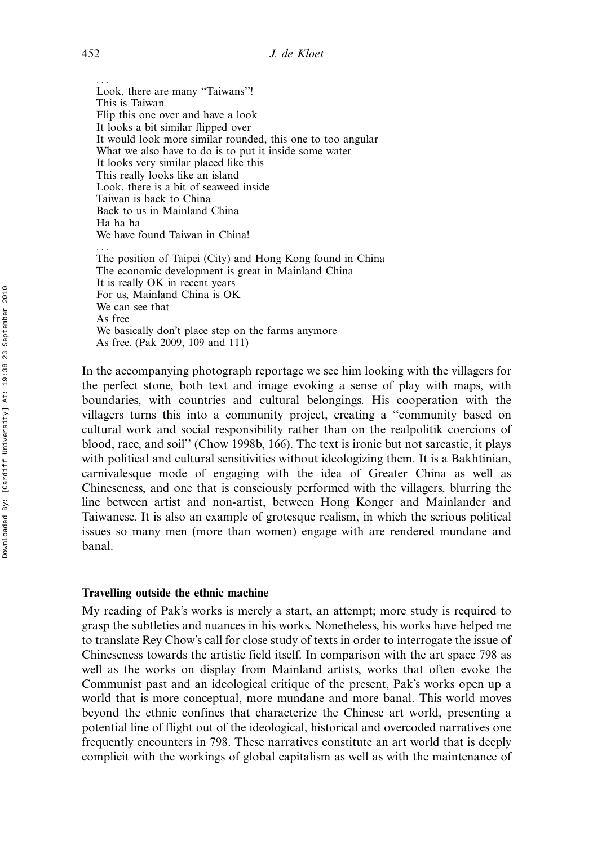... Look, there are many ''Taiwans''! This is Taiwan Flip this one over and have a look It looks a bit similar flipped over It would look more similar rounded, this one to too angular What we also have to do is to put it inside some water It looks very similar placed like this This really looks like an island Look, there is a bit of seaweed inside Taiwan is back to China Back to us in Mainland China Ha ha ha We have found Taiwan in China! ... The position of Taipei (City) and Hong Kong found in China The economic development is great in Mainland China It is really OK in recent years For us, Mainland China is OK We can see that As free We basically don't place step on the farms anymore As free. (Pak 2009, 109 and 111)

In the accompanying photograph reportage we see him looking with the villagers for the perfect stone, both text and image evoking a sense of play with maps, with boundaries, with countries and cultural belongings. His cooperation with the villagers turns this into a community project, creating a ''community based on cultural work and social responsibility rather than on the realpolitik coercions of blood, race, and soil'' (Chow 1998b, 166). The text is ironic but not sarcastic, it plays with political and cultural sensitivities without ideologizing them. It is a Bakhtinian, carnivalesque mode of engaging with the idea of Greater China as well as Chineseness, and one that is consciously performed with the villagers, blurring the line between artist and non-artist, between Hong Konger and Mainlander and Taiwanese. It is also an example of grotesque realism, in which the serious political issues so many men (more than women) engage with are rendered mundane and banal.

## Travelling outside the ethnic machine

My reading of Pak's works is merely a start, an attempt; more study is required to grasp the subtleties and nuances in his works. Nonetheless, his works have helped me to translate Rey Chow's call for close study of texts in order to interrogate the issue of Chineseness towards the artistic field itself. In comparison with the art space 798 as well as the works on display from Mainland artists, works that often evoke the Communist past and an ideological critique of the present, Pak's works open up a world that is more conceptual, more mundane and more banal. This world moves beyond the ethnic confines that characterize the Chinese art world, presenting a potential line of flight out of the ideological, historical and overcoded narratives one frequently encounters in 798. These narratives constitute an art world that is deeply complicit with the workings of global capitalism as well as with the maintenance of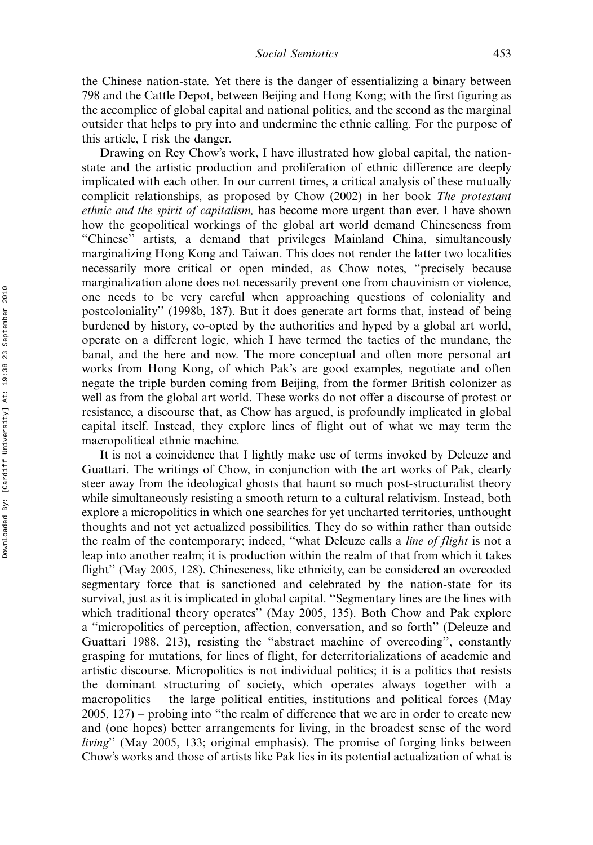the Chinese nation-state. Yet there is the danger of essentializing a binary between 798 and the Cattle Depot, between Beijing and Hong Kong; with the first figuring as the accomplice of global capital and national politics, and the second as the marginal outsider that helps to pry into and undermine the ethnic calling. For the purpose of this article, I risk the danger.

Drawing on Rey Chow's work, I have illustrated how global capital, the nationstate and the artistic production and proliferation of ethnic difference are deeply implicated with each other. In our current times, a critical analysis of these mutually complicit relationships, as proposed by Chow (2002) in her book The protestant ethnic and the spirit of capitalism, has become more urgent than ever. I have shown how the geopolitical workings of the global art world demand Chineseness from ''Chinese'' artists, a demand that privileges Mainland China, simultaneously marginalizing Hong Kong and Taiwan. This does not render the latter two localities necessarily more critical or open minded, as Chow notes, ''precisely because marginalization alone does not necessarily prevent one from chauvinism or violence, one needs to be very careful when approaching questions of coloniality and postcoloniality'' (1998b, 187). But it does generate art forms that, instead of being burdened by history, co-opted by the authorities and hyped by a global art world, operate on a different logic, which I have termed the tactics of the mundane, the banal, and the here and now. The more conceptual and often more personal art works from Hong Kong, of which Pak's are good examples, negotiate and often negate the triple burden coming from Beijing, from the former British colonizer as well as from the global art world. These works do not offer a discourse of protest or resistance, a discourse that, as Chow has argued, is profoundly implicated in global capital itself. Instead, they explore lines of flight out of what we may term the macropolitical ethnic machine.

It is not a coincidence that I lightly make use of terms invoked by Deleuze and Guattari. The writings of Chow, in conjunction with the art works of Pak, clearly steer away from the ideological ghosts that haunt so much post-structuralist theory while simultaneously resisting a smooth return to a cultural relativism. Instead, both explore a micropolitics in which one searches for yet uncharted territories, unthought thoughts and not yet actualized possibilities. They do so within rather than outside the realm of the contemporary; indeed, ''what Deleuze calls a line of flight is not a leap into another realm; it is production within the realm of that from which it takes flight'' (May 2005, 128). Chineseness, like ethnicity, can be considered an overcoded segmentary force that is sanctioned and celebrated by the nation-state for its survival, just as it is implicated in global capital. ''Segmentary lines are the lines with which traditional theory operates'' (May 2005, 135). Both Chow and Pak explore a ''micropolitics of perception, affection, conversation, and so forth'' (Deleuze and Guattari 1988, 213), resisting the ''abstract machine of overcoding'', constantly grasping for mutations, for lines of flight, for deterritorializations of academic and artistic discourse. Micropolitics is not individual politics; it is a politics that resists the dominant structuring of society, which operates always together with a macropolitics  $-$  the large political entities, institutions and political forces (May  $2005$ ,  $127$ ) – probing into "the realm of difference that we are in order to create new and (one hopes) better arrangements for living, in the broadest sense of the word living'' (May 2005, 133; original emphasis). The promise of forging links between Chow's works and those of artists like Pak lies in its potential actualization of what is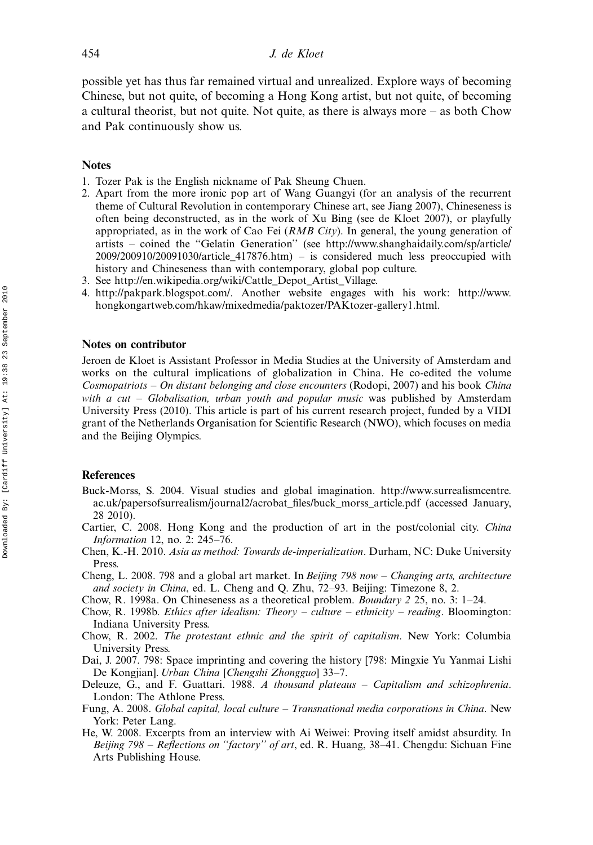possible yet has thus far remained virtual and unrealized. Explore ways of becoming Chinese, but not quite, of becoming a Hong Kong artist, but not quite, of becoming a cultural theorist, but not quite. Not quite, as there is always more  $-$  as both Chow and Pak continuously show us.

#### Notes

- 1. Tozer Pak is the English nickname of Pak Sheung Chuen.
- 2. Apart from the more ironic pop art of Wang Guangyi (for an analysis of the recurrent theme of Cultural Revolution in contemporary Chinese art, see Jiang 2007), Chineseness is often being deconstructed, as in the work of Xu Bing (see de Kloet 2007), or playfully appropriated, as in the work of Cao Fei  $(RMB City)$ . In general, the young generation of artists  $\sim$  coined the "Gelatin Generation" (see http://www.shanghaidaily.com/sp/article/  $2009/200910/20091030/article\_417876.html - is considered much less preoccupied with$ history and Chineseness than with contemporary, global pop culture.
- 3. See http://en.wikipedia.org/wiki/Cattle\_Depot\_Artist\_Village.
- 4. http://pakpark.blogspot.com/. Another website engages with his work: http://www. hongkongartweb.com/hkaw/mixedmedia/paktozer/PAKtozer-gallery1.html.

#### Notes on contributor

Jeroen de Kloet is Assistant Professor in Media Studies at the University of Amsterdam and works on the cultural implications of globalization in China. He co-edited the volume  $Cosmopatriots - On distant belonging and close encounters (Rodopi, 2007) and his book China$ with a cut  $-$  Globalisation, urban youth and popular music was published by Amsterdam University Press (2010). This article is part of his current research project, funded by a VIDI grant of the Netherlands Organisation for Scientific Research (NWO), which focuses on media and the Beijing Olympics.

#### References

- Buck-Morss, S. 2004. Visual studies and global imagination. [http://www.surrealismcentre.](http://www.surrealismcentre.ac.uk/papersofsurrealism/journal2/acrobat_files/buck_morss_article.pdf) [ac.uk/papersofsurrealism/journal2/acrobat\\_files/buck\\_morss\\_article.pdf](http://www.surrealismcentre.ac.uk/papersofsurrealism/journal2/acrobat_files/buck_morss_article.pdf) (accessed January, 28 2010).
- Cartier, C. 2008. Hong Kong and the production of art in the post/colonial city. China Information 12, no. 2: 245-76.
- Chen, K.-H. 2010. Asia as method: Towards de-imperialization. Durham, NC: Duke University Press.
- Cheng, L. 2008. 798 and a global art market. In *Beijing 798 now Changing arts, architecture* and society in China, ed. L. Cheng and Q. Zhu,  $72-93$ . Beijing: Timezone 8, 2.
- Chow, R. 1998a. On Chineseness as a theoretical problem. *Boundary* 2 25, no. 3: 1–24.
- Chow, R. 1998b. *Ethics after idealism: Theory*  $-$  *culture*  $-$  *ethnicity*  $-$  *reading.* Bloomington: Indiana University Press.
- Chow, R. 2002. The protestant ethnic and the spirit of capitalism. New York: Columbia University Press.
- Dai, J. 2007. 798: Space imprinting and covering the history [798: Mingxie Yu Yanmai Lishi De Kongjian]. Urban China [Chengshi Zhongguo] 33–7.
- Deleuze, G., and F. Guattari. 1988. A thousand plateaus Capitalism and schizophrenia. London: The Athlone Press.
- Fung, A. 2008. Global capital, local culture Transnational media corporations in China. New York: Peter Lang.
- He, W. 2008. Excerpts from an interview with Ai Weiwei: Proving itself amidst absurdity. In Beijing 798 – Reflections on "factory" of art, ed. R. Huang, 38–41. Chengdu: Sichuan Fine Arts Publishing House.